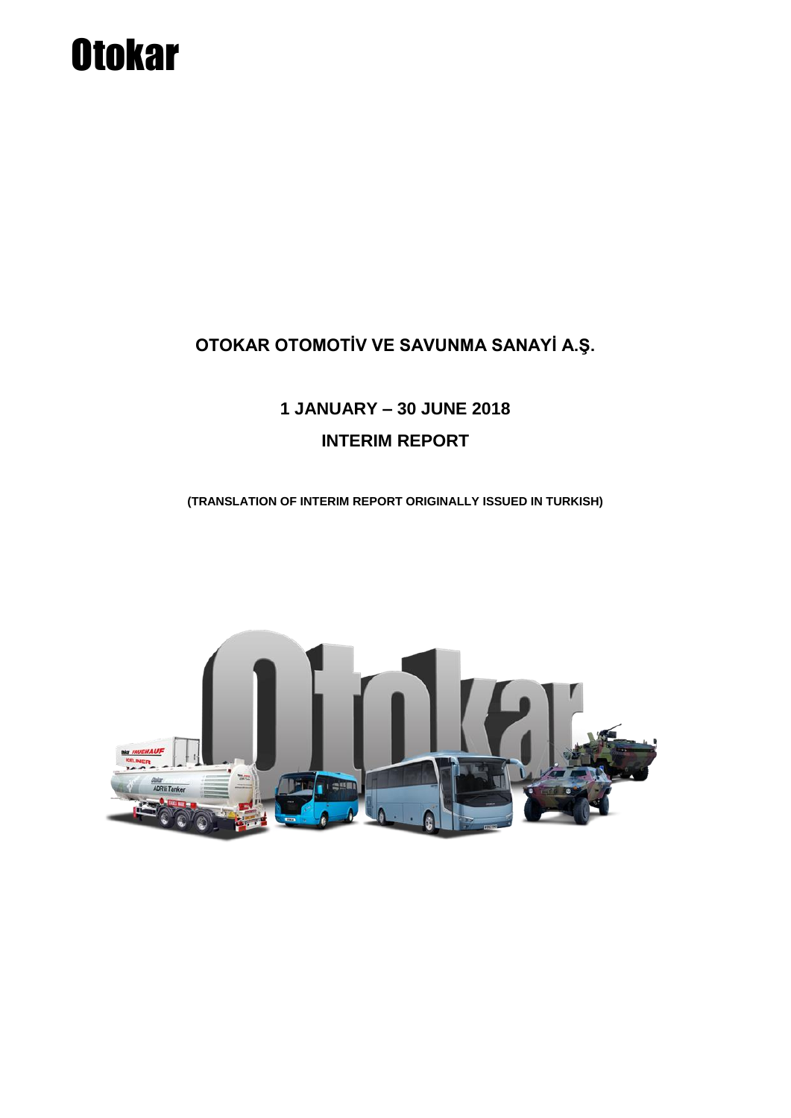## **OTOKAR OTOMOTİV VE SAVUNMA SANAYİ A.Ş.**

## **1 JANUARY – 30 JUNE 2018 INTERIM REPORT**

**(TRANSLATION OF INTERIM REPORT ORIGINALLY ISSUED IN TURKISH)**

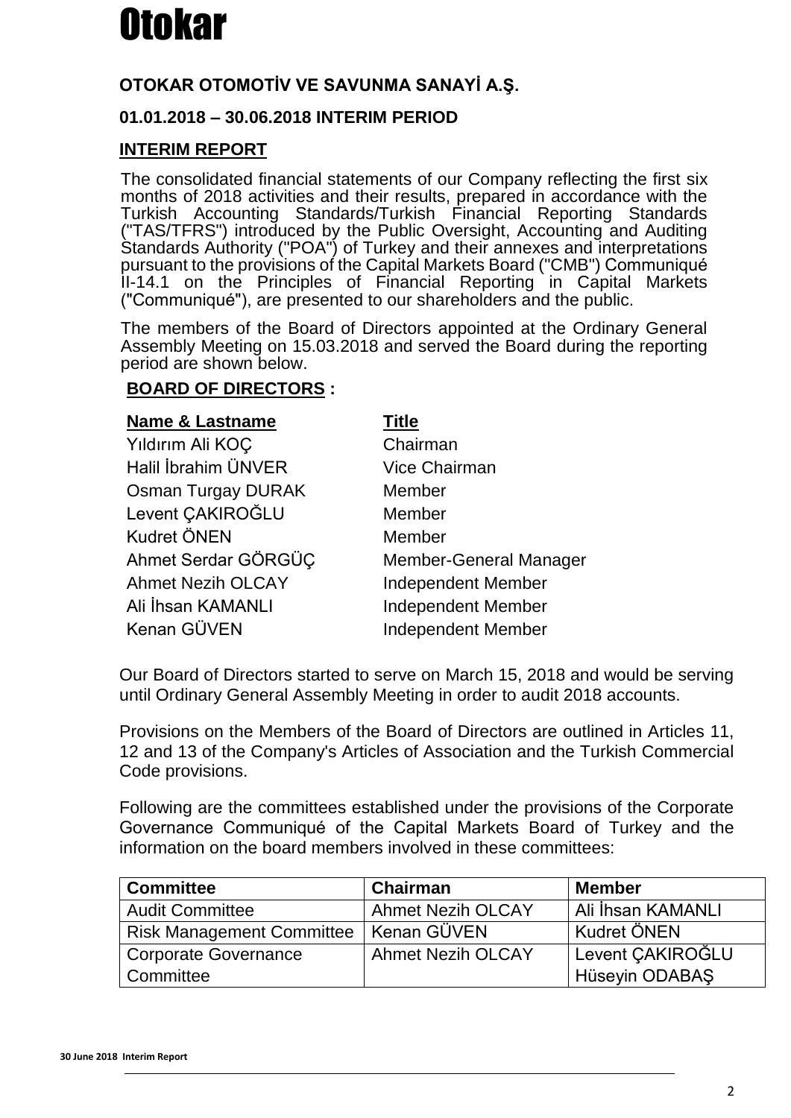## **OTOKAR OTOMOTİV VE SAVUNMA SANAYİ A.Ş.**

## **01.01.2018 – 30.06.2018 INTERIM PERIOD**

## **INTERIM REPORT**

The consolidated financial statements of our Company reflecting the first six months of 2018 activities and their results, prepared in accordance with the Turkish Accounting Standards/Turkish Financial Reporting Standards ("TAS/TFRS") introduced by the Public Oversight, Accounting and Auditing Standards Authority ("POA") of Turkey and their annexes and interpretations pursuant to the provisions of the Capital Markets Board ("CMB") Communiqué II-14.1 on the Principles of Financial Reporting in Capital Markets ("Communiqué"), are presented to our shareholders and the public.

The members of the Board of Directors appointed at the Ordinary General Assembly Meeting on 15.03.2018 and served the Board during the reporting period are shown below.

## **BOARD OF DIRECTORS :**

| <b>Name &amp; Lastname</b> | Title                     |
|----------------------------|---------------------------|
| Yıldırım Ali KOÇ           | Chairman                  |
| Halil İbrahim ÜNVER        | <b>Vice Chairman</b>      |
| <b>Osman Turgay DURAK</b>  | Member                    |
| Levent ÇAKIROĞLU           | Member                    |
| <b>Kudret ÖNEN</b>         | Member                    |
| Ahmet Serdar GÖRGÜÇ        | Member-General Manager    |
| <b>Ahmet Nezih OLCAY</b>   | <b>Independent Member</b> |
| Ali İhsan KAMANLI          | <b>Independent Member</b> |
| Kenan GÜVEN                | <b>Independent Member</b> |
|                            |                           |

Our Board of Directors started to serve on March 15, 2018 and would be serving until Ordinary General Assembly Meeting in order to audit 2018 accounts.

Provisions on the Members of the Board of Directors are outlined in Articles 11, 12 and 13 of the Company's Articles of Association and the Turkish Commercial Code provisions.

Following are the committees established under the provisions of the Corporate Governance Communiqué of the Capital Markets Board of Turkey and the information on the board members involved in these committees:

| <b>Committee</b>                 | <b>Chairman</b>          | <b>Member</b>      |
|----------------------------------|--------------------------|--------------------|
| <b>Audit Committee</b>           | <b>Ahmet Nezih OLCAY</b> | Ali İhsan KAMANLI  |
| <b>Risk Management Committee</b> | Kenan GÜVEN              | <b>Kudret ÖNEN</b> |
| <b>Corporate Governance</b>      | <b>Ahmet Nezih OLCAY</b> | Levent ÇAKIROĞLU   |
| Committee                        |                          | Hüseyin ODABAŞ     |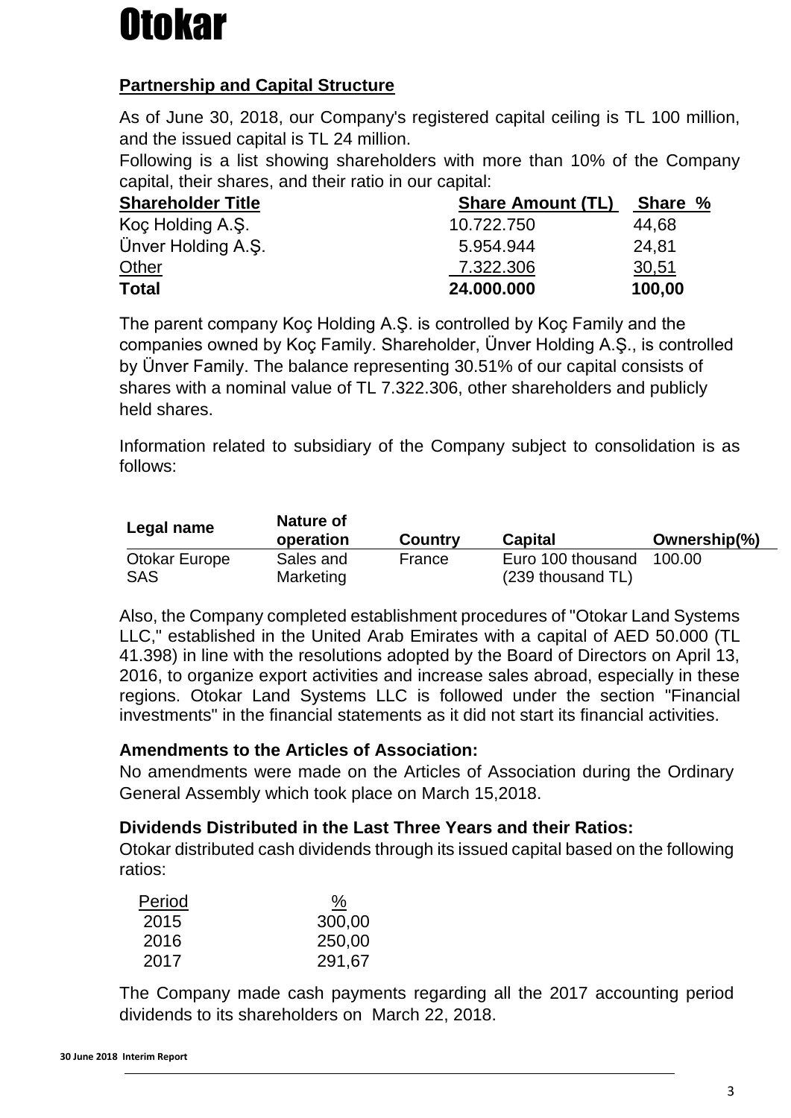## **Partnership and Capital Structure**

As of June 30, 2018, our Company's registered capital ceiling is TL 100 million, and the issued capital is TL 24 million.

Following is a list showing shareholders with more than 10% of the Company capital, their shares, and their ratio in our capital:

| <b>Shareholder Title</b> | <b>Share Amount (TL)</b> | Share % |  |
|--------------------------|--------------------------|---------|--|
| Koç Holding A.Ş.         | 10.722.750               | 44,68   |  |
| Ünver Holding A.S.       | 5.954.944                | 24,81   |  |
| Other                    | 7.322.306                | 30,51   |  |
| <b>Total</b>             | 24.000.000               | 100,00  |  |

The parent company Koç Holding A.Ş. is controlled by Koç Family and the companies owned by Koç Family. Shareholder, Ünver Holding A.Ş., is controlled by Ünver Family. The balance representing 30.51% of our capital consists of shares with a nominal value of TL 7.322.306, other shareholders and publicly held shares.

Information related to subsidiary of the Company subject to consolidation is as follows:

| Legal name    | Nature of<br>operation | <b>Country</b> | <b>Capital</b>    | Ownership(%) |
|---------------|------------------------|----------------|-------------------|--------------|
| Otokar Europe | Sales and              | France         | Euro 100 thousand | 100.00       |
| SAS           | Marketing              |                | (239 thousand TL) |              |

Also, the Company completed establishment procedures of "Otokar Land Systems LLC," established in the United Arab Emirates with a capital of AED 50.000 (TL 41.398) in line with the resolutions adopted by the Board of Directors on April 13, 2016, to organize export activities and increase sales abroad, especially in these regions. Otokar Land Systems LLC is followed under the section "Financial investments" in the financial statements as it did not start its financial activities.

## **Amendments to the Articles of Association:**

No amendments were made on the Articles of Association during the Ordinary General Assembly which took place on March 15,2018.

## **Dividends Distributed in the Last Three Years and their Ratios:**

Otokar distributed cash dividends through its issued capital based on the following ratios:

| Period | <u>%</u> |
|--------|----------|
| 2015   | 300,00   |
| 2016   | 250,00   |
| 2017   | 291,67   |

The Company made cash payments regarding all the 2017 accounting period dividends to its shareholders on March 22, 2018.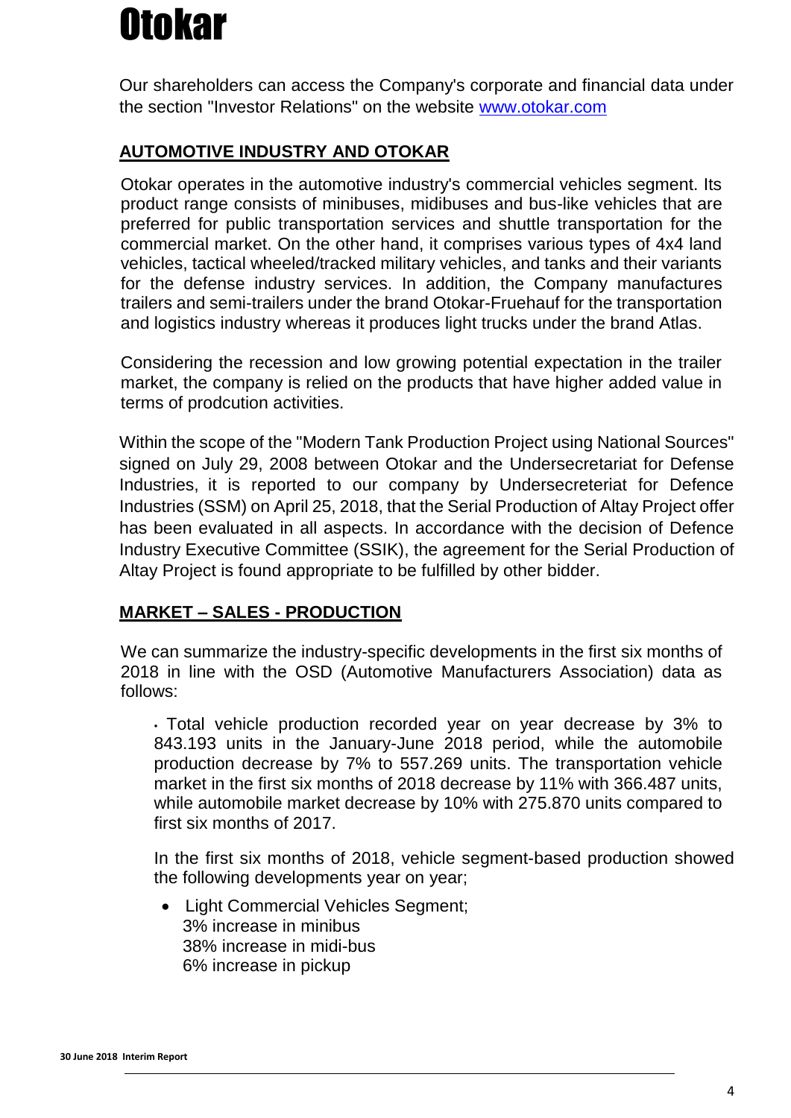Our shareholders can access the Company's corporate and financial data under the section "Investor Relations" on the website [www.otokar.com](http://www.otokar.com/)

## **AUTOMOTIVE INDUSTRY AND OTOKAR**

Otokar operates in the automotive industry's commercial vehicles segment. Its product range consists of minibuses, midibuses and bus-like vehicles that are preferred for public transportation services and shuttle transportation for the commercial market. On the other hand, it comprises various types of 4x4 land vehicles, tactical wheeled/tracked military vehicles, and tanks and their variants for the defense industry services. In addition, the Company manufactures trailers and semi-trailers under the brand Otokar-Fruehauf for the transportation and logistics industry whereas it produces light trucks under the brand Atlas.

Considering the recession and low growing potential expectation in the trailer market, the company is relied on the products that have higher added value in terms of prodcution activities.

Within the scope of the "Modern Tank Production Project using National Sources" signed on July 29, 2008 between Otokar and the Undersecretariat for Defense Industries, it is reported to our company by Undersecreteriat for Defence Industries (SSM) on April 25, 2018, that the Serial Production of Altay Project offer has been evaluated in all aspects. In accordance with the decision of Defence Industry Executive Committee (SSIK), the agreement for the Serial Production of Altay Project is found appropriate to be fulfilled by other bidder.

## **MARKET – SALES - PRODUCTION**

We can summarize the industry-specific developments in the first six months of 2018 in line with the OSD (Automotive Manufacturers Association) data as follows:

• Total vehicle production recorded year on year decrease by 3% to 843.193 units in the January-June 2018 period, while the automobile production decrease by 7% to 557.269 units. The transportation vehicle market in the first six months of 2018 decrease by 11% with 366.487 units, while automobile market decrease by 10% with 275.870 units compared to first six months of 2017.

In the first six months of 2018, vehicle segment-based production showed the following developments year on year;

 Light Commercial Vehicles Segment; 3% increase in minibus 38% increase in midi-bus 6% increase in pickup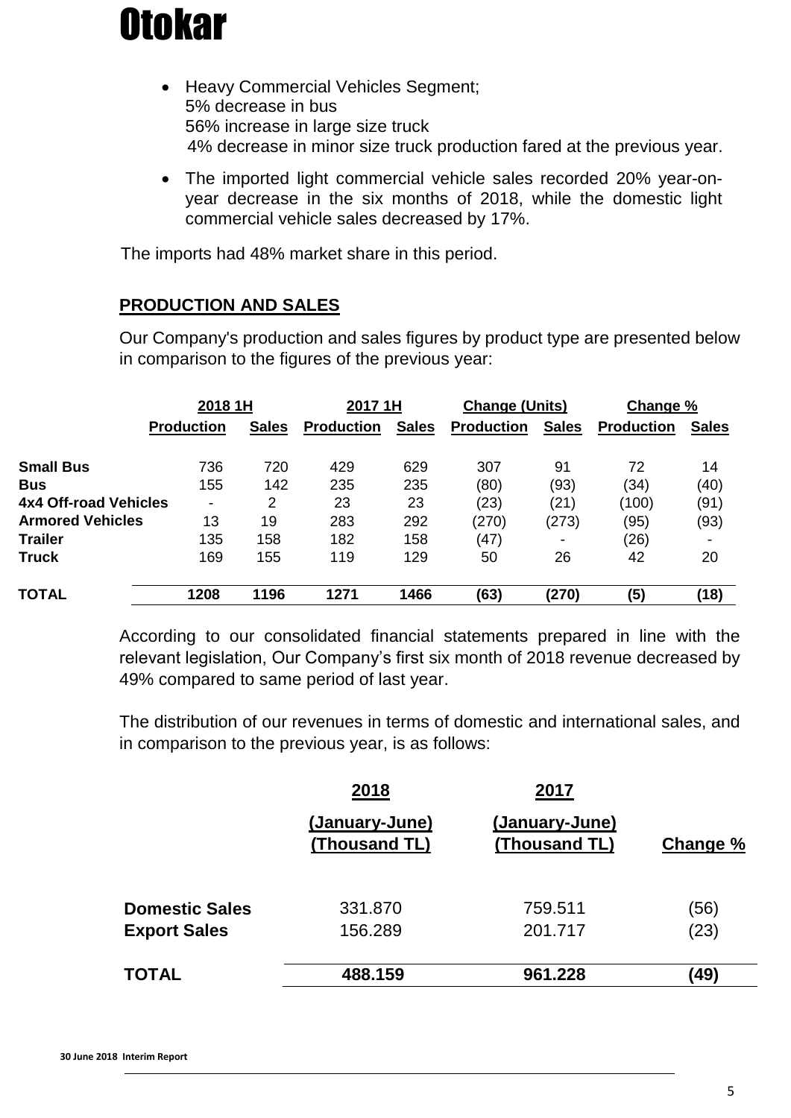

- Heavy Commercial Vehicles Segment; 5% decrease in bus 56% increase in large size truck 4% decrease in minor size truck production fared at the previous year.
- The imported light commercial vehicle sales recorded 20% year-onyear decrease in the six months of 2018, while the domestic light commercial vehicle sales decreased by 17%.

The imports had 48% market share in this period.

#### **PRODUCTION AND SALES**

Our Company's production and sales figures by product type are presented below in comparison to the figures of the previous year:

|                         | 2018 1H                  |              | 2017 1H           |              | <b>Change (Units)</b> |              | Change %          |              |
|-------------------------|--------------------------|--------------|-------------------|--------------|-----------------------|--------------|-------------------|--------------|
|                         | <b>Production</b>        | <b>Sales</b> | <b>Production</b> | <b>Sales</b> | <b>Production</b>     | <b>Sales</b> | <b>Production</b> | <b>Sales</b> |
| <b>Small Bus</b>        | 736                      | 720          | 429               | 629          | 307                   | 91           | 72                | 14           |
| <b>Bus</b>              | 155                      | 142          | 235               | 235          | (80)                  | (93)         | (34)              | (40)         |
| 4x4 Off-road Vehicles   | $\overline{\phantom{a}}$ | 2            | 23                | 23           | (23)                  | (21)         | (100)             | (91)         |
| <b>Armored Vehicles</b> | 13                       | 19           | 283               | 292          | (270)                 | (273)        | (95)              | (93)         |
| <b>Trailer</b>          | 135                      | 158          | 182               | 158          | (47)                  |              | (26)              | -            |
| <b>Truck</b>            | 169                      | 155          | 119               | 129          | 50                    | 26           | 42                | 20           |
| <b>TOTAL</b>            | 1208                     | 1196         | 1271              | 1466         | (63)                  | (270)        | (5)               | (18)         |

According to our consolidated financial statements prepared in line with the relevant legislation, Our Company's first six month of 2018 revenue decreased by 49% compared to same period of last year.

The distribution of our revenues in terms of domestic and international sales, and in comparison to the previous year, is as follows:

|                       | 2018                            | 2017                            |          |
|-----------------------|---------------------------------|---------------------------------|----------|
|                       | (January-June)<br>(Thousand TL) | (January-June)<br>(Thousand TL) | Change % |
| <b>Domestic Sales</b> | 331.870                         | 759.511                         | (56)     |
| <b>Export Sales</b>   | 156.289                         | 201.717                         | (23)     |
| <b>TOTAL</b>          | 488.159                         | 961.228                         | (49)     |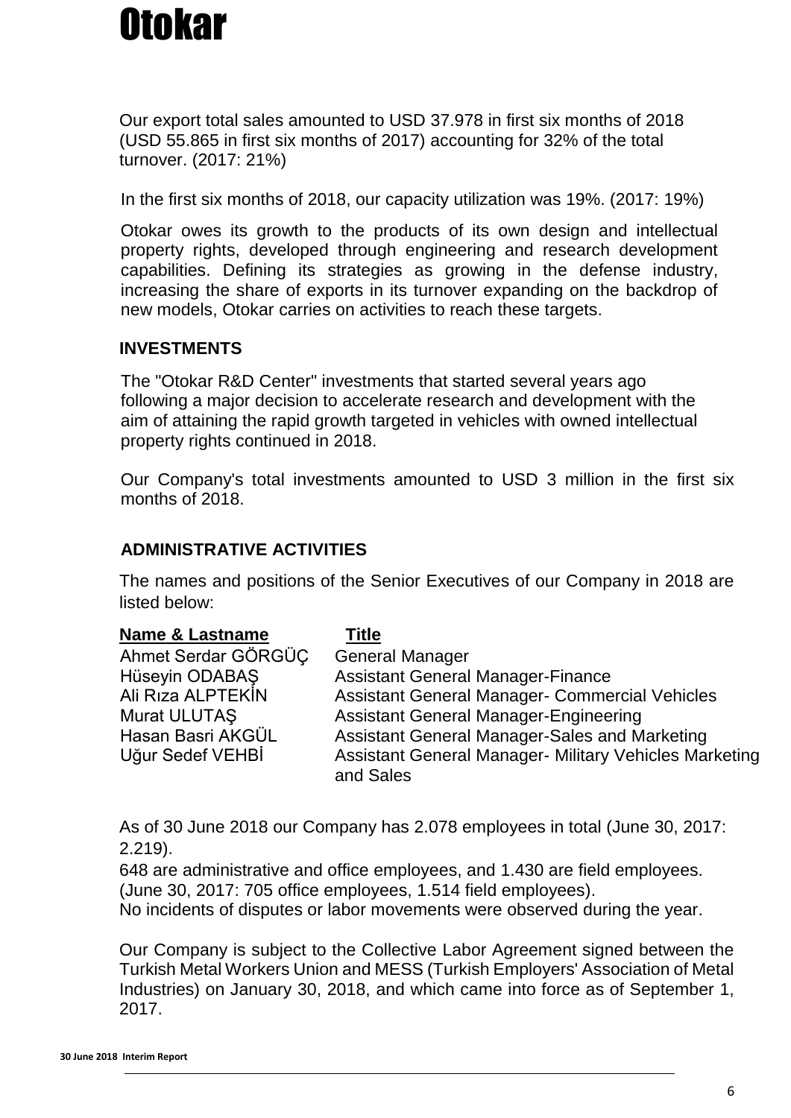Our export total sales amounted to USD 37.978 in first six months of 2018 (USD 55.865 in first six months of 2017) accounting for 32% of the total turnover. (2017: 21%)

In the first six months of 2018, our capacity utilization was 19%. (2017: 19%)

Otokar owes its growth to the products of its own design and intellectual property rights, developed through engineering and research development capabilities. Defining its strategies as growing in the defense industry, increasing the share of exports in its turnover expanding on the backdrop of new models, Otokar carries on activities to reach these targets.

## **INVESTMENTS**

The "Otokar R&D Center" investments that started several years ago following a major decision to accelerate research and development with the aim of attaining the rapid growth targeted in vehicles with owned intellectual property rights continued in 2018.

Our Company's total investments amounted to USD 3 million in the first six months of 2018.

## **ADMINISTRATIVE ACTIVITIES**

The names and positions of the Senior Executives of our Company in 2018 are listed below:

| <b>Name &amp; Lastname</b> | <b>Title</b>                                                        |
|----------------------------|---------------------------------------------------------------------|
| Ahmet Serdar GÖRGÜC        | <b>General Manager</b>                                              |
| Hüseyin ODABAŞ             | <b>Assistant General Manager-Finance</b>                            |
| Ali Rıza ALPTEKİN          | Assistant General Manager- Commercial Vehicles                      |
| Murat ULUTAŞ               | <b>Assistant General Manager-Engineering</b>                        |
| Hasan Basri AKGÜL          | Assistant General Manager-Sales and Marketing                       |
| Uğur Sedef VEHBİ           | Assistant General Manager- Military Vehicles Marketing<br>and Sales |

As of 30 June 2018 our Company has 2.078 employees in total (June 30, 2017: 2.219).

648 are administrative and office employees, and 1.430 are field employees. (June 30, 2017: 705 office employees, 1.514 field employees).

No incidents of disputes or labor movements were observed during the year.

Our Company is subject to the Collective Labor Agreement signed between the Turkish Metal Workers Union and MESS (Turkish Employers' Association of Metal Industries) on January 30, 2018, and which came into force as of September 1, 2017.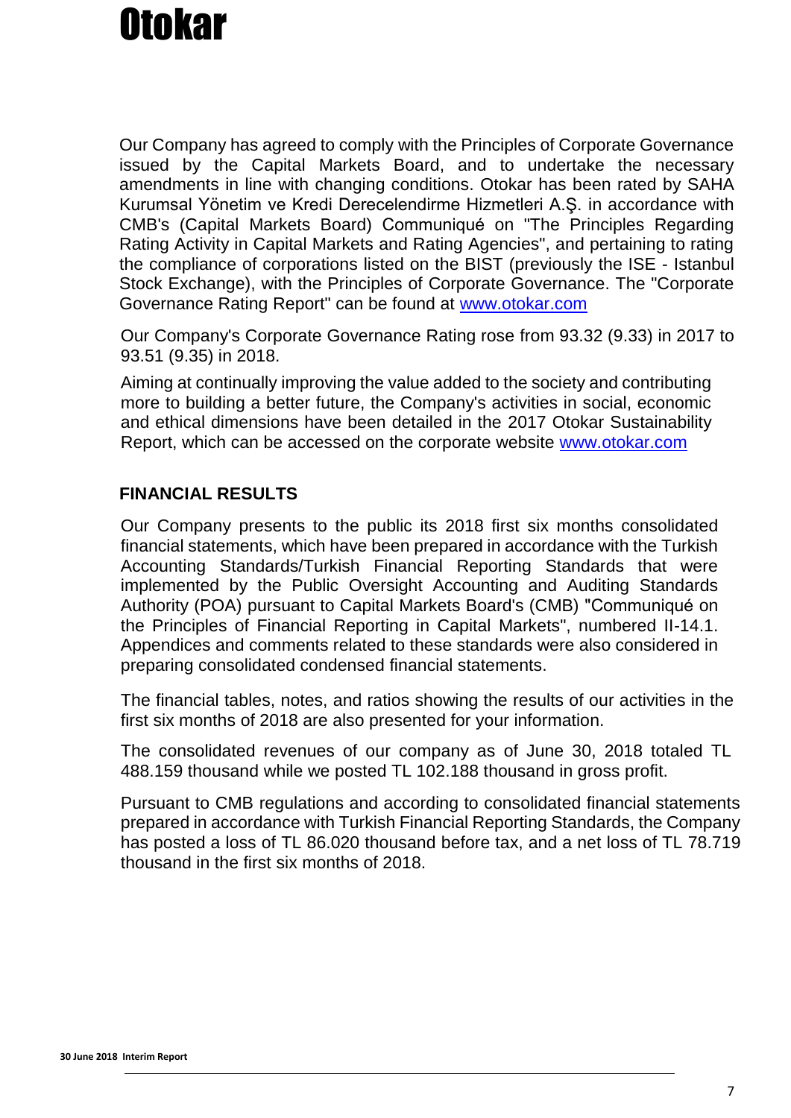Our Company has agreed to comply with the Principles of Corporate Governance issued by the Capital Markets Board, and to undertake the necessary amendments in line with changing conditions. Otokar has been rated by SAHA Kurumsal Yönetim ve Kredi Derecelendirme Hizmetleri A.Ş. in accordance with CMB's (Capital Markets Board) Communiqué on "The Principles Regarding Rating Activity in Capital Markets and Rating Agencies", and pertaining to rating the compliance of corporations listed on the BIST (previously the ISE - Istanbul Stock Exchange), with the Principles of Corporate Governance. The "Corporate Governance Rating Report" can be found at [www.otokar.com](http://www.otokar.com/)

Our Company's Corporate Governance Rating rose from 93.32 (9.33) in 2017 to 93.51 (9.35) in 2018.

Aiming at continually improving the value added to the society and contributing more to building a better future, the Company's activities in social, economic and ethical dimensions have been detailed in the 2017 Otokar Sustainability Report, which can be accessed on the corporate website [www.otokar.com](http://www.otokar.com/)

## **FINANCIAL RESULTS**

Our Company presents to the public its 2018 first six months consolidated financial statements, which have been prepared in accordance with the Turkish Accounting Standards/Turkish Financial Reporting Standards that were implemented by the Public Oversight Accounting and Auditing Standards Authority (POA) pursuant to Capital Markets Board's (CMB) "Communiqué on the Principles of Financial Reporting in Capital Markets", numbered II-14.1. Appendices and comments related to these standards were also considered in preparing consolidated condensed financial statements.

The financial tables, notes, and ratios showing the results of our activities in the first six months of 2018 are also presented for your information.

The consolidated revenues of our company as of June 30, 2018 totaled TL 488.159 thousand while we posted TL 102.188 thousand in gross profit.

Pursuant to CMB regulations and according to consolidated financial statements prepared in accordance with Turkish Financial Reporting Standards, the Company has posted a loss of TL 86.020 thousand before tax, and a net loss of TL 78.719 thousand in the first six months of 2018.